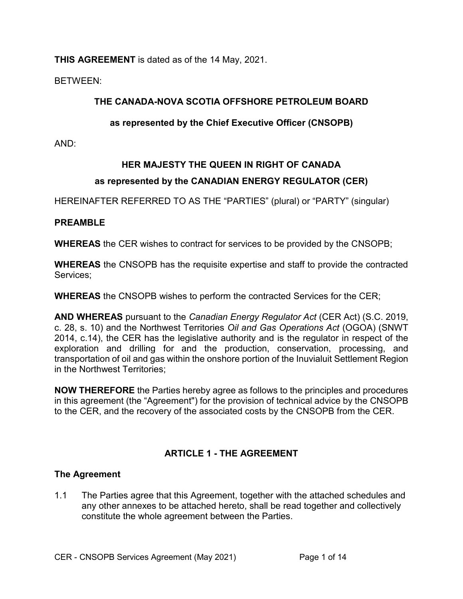**THIS AGREEMENT** is dated as of the 14 May, 2021.

BETWEEN:

# **THE CANADA-NOVA SCOTIA OFFSHORE PETROLEUM BOARD**

# **as represented by the Chief Executive Officer (CNSOPB)**

AND:

# **HER MAJESTY THE QUEEN IN RIGHT OF CANADA**

# **as represented by the CANADIAN ENERGY REGULATOR (CER)**

HEREINAFTER REFERRED TO AS THE "PARTIES" (plural) or "PARTY" (singular)

# **PREAMBLE**

**WHEREAS** the CER wishes to contract for services to be provided by the CNSOPB;

**WHEREAS** the CNSOPB has the requisite expertise and staff to provide the contracted Services;

**WHEREAS** the CNSOPB wishes to perform the contracted Services for the CER;

**AND WHEREAS** pursuant to the *Canadian Energy Regulator Act* (CER Act) (S.C. 2019, c. 28, s. 10) and the Northwest Territories *Oil and Gas Operations Act* (OGOA) (SNWT 2014, c.14), the CER has the legislative authority and is the regulator in respect of the exploration and drilling for and the production, conservation, processing, and transportation of oil and gas within the onshore portion of the Inuvialuit Settlement Region in the Northwest Territories;

**NOW THEREFORE** the Parties hereby agree as follows to the principles and procedures in this agreement (the "Agreement") for the provision of technical advice by the CNSOPB to the CER, and the recovery of the associated costs by the CNSOPB from the CER.

# **ARTICLE 1 - THE AGREEMENT**

# **The Agreement**

1.1 The Parties agree that this Agreement, together with the attached schedules and any other annexes to be attached hereto, shall be read together and collectively constitute the whole agreement between the Parties.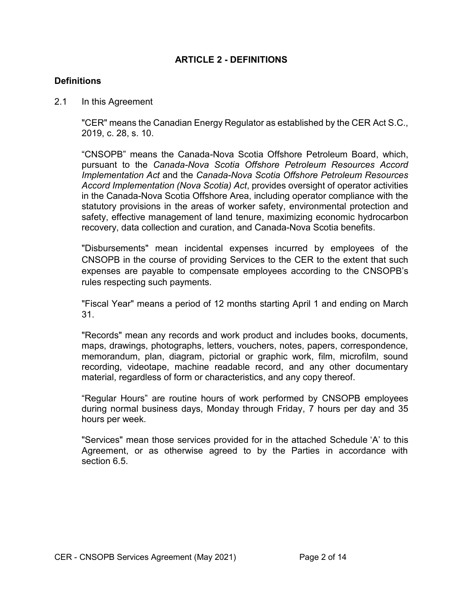## **ARTICLE 2 - DEFINITIONS**

## **Definitions**

2.1 In this Agreement

"CER" means the Canadian Energy Regulator as established by the CER Act S.C., 2019, c. 28, s. 10.

"CNSOPB" means the Canada-Nova Scotia Offshore Petroleum Board, which, pursuant to the *Canada-Nova Scotia Offshore Petroleum Resources Accord Implementation Act* and the *Canada-Nova Scotia Offshore Petroleum Resources Accord Implementation (Nova Scotia) Act*, provides oversight of operator activities in the Canada-Nova Scotia Offshore Area, including operator compliance with the statutory provisions in the areas of worker safety, environmental protection and safety, effective management of land tenure, maximizing economic hydrocarbon recovery, data collection and curation, and Canada-Nova Scotia benefits.

"Disbursements" mean incidental expenses incurred by employees of the CNSOPB in the course of providing Services to the CER to the extent that such expenses are payable to compensate employees according to the CNSOPB's rules respecting such payments.

"Fiscal Year" means a period of 12 months starting April 1 and ending on March 31.

"Records" mean any records and work product and includes books, documents, maps, drawings, photographs, letters, vouchers, notes, papers, correspondence, memorandum, plan, diagram, pictorial or graphic work, film, microfilm, sound recording, videotape, machine readable record, and any other documentary material, regardless of form or characteristics, and any copy thereof.

"Regular Hours" are routine hours of work performed by CNSOPB employees during normal business days, Monday through Friday, 7 hours per day and 35 hours per week.

"Services" mean those services provided for in the attached Schedule 'A' to this Agreement, or as otherwise agreed to by the Parties in accordance with section 6.5.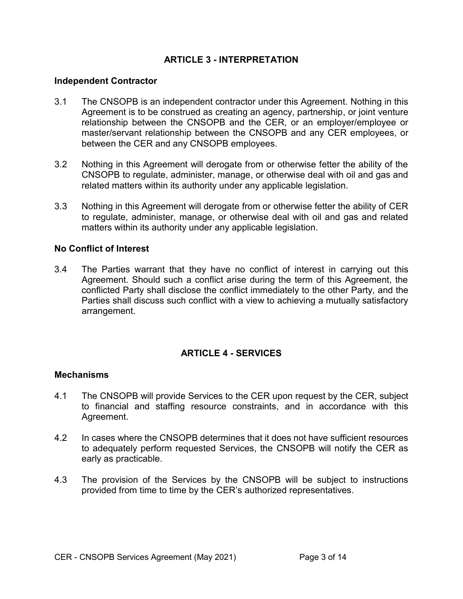## **ARTICLE 3 - INTERPRETATION**

#### **Independent Contractor**

- 3.1 The CNSOPB is an independent contractor under this Agreement. Nothing in this Agreement is to be construed as creating an agency, partnership, or joint venture relationship between the CNSOPB and the CER, or an employer/employee or master/servant relationship between the CNSOPB and any CER employees, or between the CER and any CNSOPB employees.
- 3.2 Nothing in this Agreement will derogate from or otherwise fetter the ability of the CNSOPB to regulate, administer, manage, or otherwise deal with oil and gas and related matters within its authority under any applicable legislation.
- 3.3 Nothing in this Agreement will derogate from or otherwise fetter the ability of CER to regulate, administer, manage, or otherwise deal with oil and gas and related matters within its authority under any applicable legislation.

#### **No Conflict of Interest**

3.4 The Parties warrant that they have no conflict of interest in carrying out this Agreement. Should such a conflict arise during the term of this Agreement, the conflicted Party shall disclose the conflict immediately to the other Party, and the Parties shall discuss such conflict with a view to achieving a mutually satisfactory arrangement.

# **ARTICLE 4 - SERVICES**

#### **Mechanisms**

- 4.1 The CNSOPB will provide Services to the CER upon request by the CER, subject to financial and staffing resource constraints, and in accordance with this Agreement.
- 4.2 In cases where the CNSOPB determines that it does not have sufficient resources to adequately perform requested Services, the CNSOPB will notify the CER as early as practicable.
- 4.3 The provision of the Services by the CNSOPB will be subject to instructions provided from time to time by the CER's authorized representatives.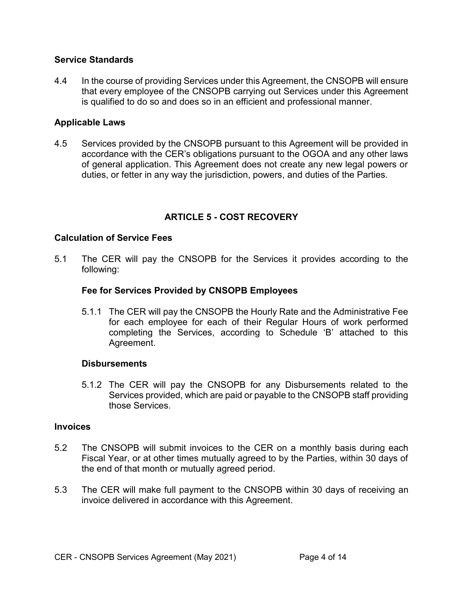## **Service Standards**

4.4 In the course of providing Services under this Agreement, the CNSOPB will ensure that every employee of the CNSOPB carrying out Services under this Agreement is qualified to do so and does so in an efficient and professional manner.

## **Applicable Laws**

4.5 Services provided by the CNSOPB pursuant to this Agreement will be provided in accordance with the CER's obligations pursuant to the OGOA and any other laws of general application. This Agreement does not create any new legal powers or duties, or fetter in any way the jurisdiction, powers, and duties of the Parties.

# **ARTICLE 5 - COST RECOVERY**

## **Calculation of Service Fees**

5.1 The CER will pay the CNSOPB for the Services it provides according to the following:

## **Fee for Services Provided by CNSOPB Employees**

5.1.1 The CER will pay the CNSOPB the Hourly Rate and the Administrative Fee for each employee for each of their Regular Hours of work performed completing the Services, according to Schedule 'B' attached to this Agreement.

## **Disbursements**

5.1.2 The CER will pay the CNSOPB for any Disbursements related to the Services provided, which are paid or payable to the CNSOPB staff providing those Services.

#### **Invoices**

- 5.2 The CNSOPB will submit invoices to the CER on a monthly basis during each Fiscal Year, or at other times mutually agreed to by the Parties, within 30 days of the end of that month or mutually agreed period.
- 5.3 The CER will make full payment to the CNSOPB within 30 days of receiving an invoice delivered in accordance with this Agreement.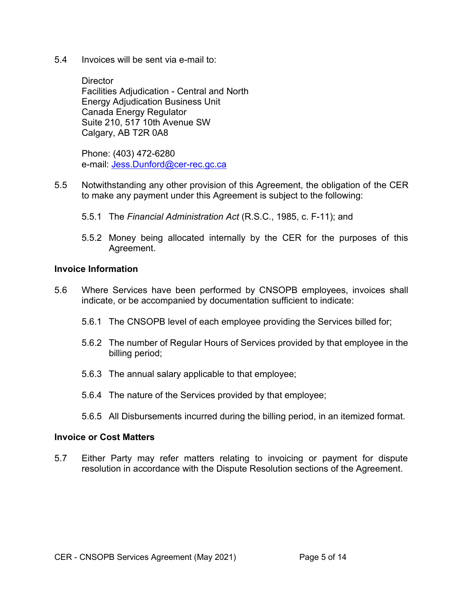5.4 Invoices will be sent via e-mail to:

**Director** Facilities Adjudication - Central and North Energy Adjudication Business Unit Canada Energy Regulator Suite 210, 517 10th Avenue SW Calgary, AB T2R 0A8

Phone: (403) 472-6280 e-mail: [Jess.Dunford@cer-rec.gc.ca](mailto:Jess.Dunford@cer-rec.gc.ca)

- 5.5 Notwithstanding any other provision of this Agreement, the obligation of the CER to make any payment under this Agreement is subject to the following:
	- 5.5.1 The *Financial Administration Act* (R.S.C., 1985, c. F-11); and
	- 5.5.2 Money being allocated internally by the CER for the purposes of this Agreement.

#### **Invoice Information**

- 5.6 Where Services have been performed by CNSOPB employees, invoices shall indicate, or be accompanied by documentation sufficient to indicate:
	- 5.6.1 The CNSOPB level of each employee providing the Services billed for;
	- 5.6.2 The number of Regular Hours of Services provided by that employee in the billing period;
	- 5.6.3 The annual salary applicable to that employee;
	- 5.6.4 The nature of the Services provided by that employee;
	- 5.6.5 All Disbursements incurred during the billing period, in an itemized format.

#### **Invoice or Cost Matters**

5.7 Either Party may refer matters relating to invoicing or payment for dispute resolution in accordance with the Dispute Resolution sections of the Agreement.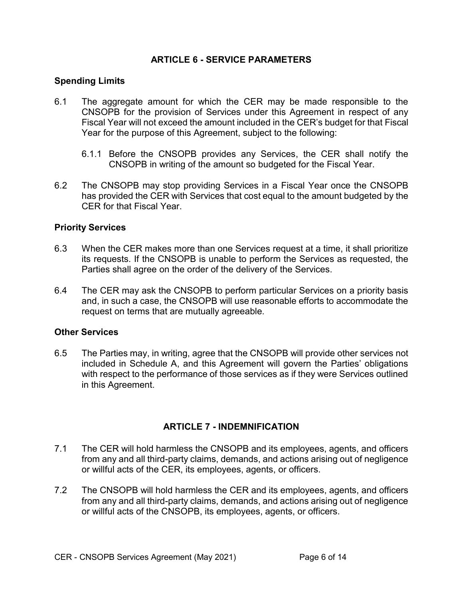## **ARTICLE 6 - SERVICE PARAMETERS**

## **Spending Limits**

- 6.1 The aggregate amount for which the CER may be made responsible to the CNSOPB for the provision of Services under this Agreement in respect of any Fiscal Year will not exceed the amount included in the CER's budget for that Fiscal Year for the purpose of this Agreement, subject to the following:
	- 6.1.1 Before the CNSOPB provides any Services, the CER shall notify the CNSOPB in writing of the amount so budgeted for the Fiscal Year.
- 6.2 The CNSOPB may stop providing Services in a Fiscal Year once the CNSOPB has provided the CER with Services that cost equal to the amount budgeted by the CER for that Fiscal Year.

## **Priority Services**

- 6.3 When the CER makes more than one Services request at a time, it shall prioritize its requests. If the CNSOPB is unable to perform the Services as requested, the Parties shall agree on the order of the delivery of the Services.
- 6.4 The CER may ask the CNSOPB to perform particular Services on a priority basis and, in such a case, the CNSOPB will use reasonable efforts to accommodate the request on terms that are mutually agreeable.

#### **Other Services**

6.5 The Parties may, in writing, agree that the CNSOPB will provide other services not included in Schedule A, and this Agreement will govern the Parties' obligations with respect to the performance of those services as if they were Services outlined in this Agreement.

## **ARTICLE 7 - INDEMNIFICATION**

- 7.1 The CER will hold harmless the CNSOPB and its employees, agents, and officers from any and all third-party claims, demands, and actions arising out of negligence or willful acts of the CER, its employees, agents, or officers.
- 7.2 The CNSOPB will hold harmless the CER and its employees, agents, and officers from any and all third-party claims, demands, and actions arising out of negligence or willful acts of the CNSOPB, its employees, agents, or officers.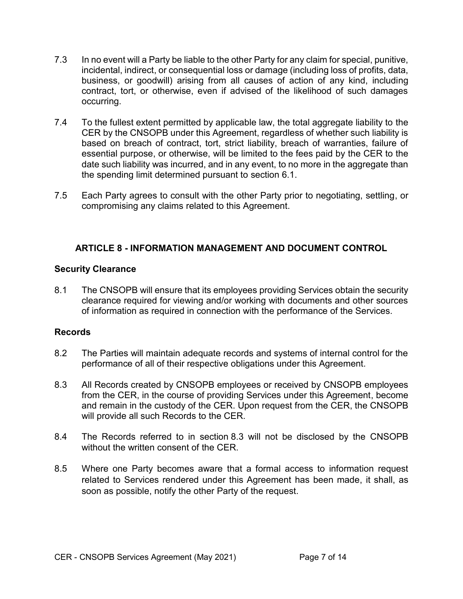- 7.3 In no event will a Party be liable to the other Party for any claim for special, punitive, incidental, indirect, or consequential loss or damage (including loss of profits, data, business, or goodwill) arising from all causes of action of any kind, including contract, tort, or otherwise, even if advised of the likelihood of such damages occurring.
- 7.4 To the fullest extent permitted by applicable law, the total aggregate liability to the CER by the CNSOPB under this Agreement, regardless of whether such liability is based on breach of contract, tort, strict liability, breach of warranties, failure of essential purpose, or otherwise, will be limited to the fees paid by the CER to the date such liability was incurred, and in any event, to no more in the aggregate than the spending limit determined pursuant to section 6.1.
- 7.5 Each Party agrees to consult with the other Party prior to negotiating, settling, or compromising any claims related to this Agreement.

# **ARTICLE 8 - INFORMATION MANAGEMENT AND DOCUMENT CONTROL**

# **Security Clearance**

8.1 The CNSOPB will ensure that its employees providing Services obtain the security clearance required for viewing and/or working with documents and other sources of information as required in connection with the performance of the Services.

# **Records**

- 8.2 The Parties will maintain adequate records and systems of internal control for the performance of all of their respective obligations under this Agreement.
- 8.3 All Records created by CNSOPB employees or received by CNSOPB employees from the CER, in the course of providing Services under this Agreement, become and remain in the custody of the CER. Upon request from the CER, the CNSOPB will provide all such Records to the CER.
- 8.4 The Records referred to in section 8.3 will not be disclosed by the CNSOPB without the written consent of the CER.
- 8.5 Where one Party becomes aware that a formal access to information request related to Services rendered under this Agreement has been made, it shall, as soon as possible, notify the other Party of the request.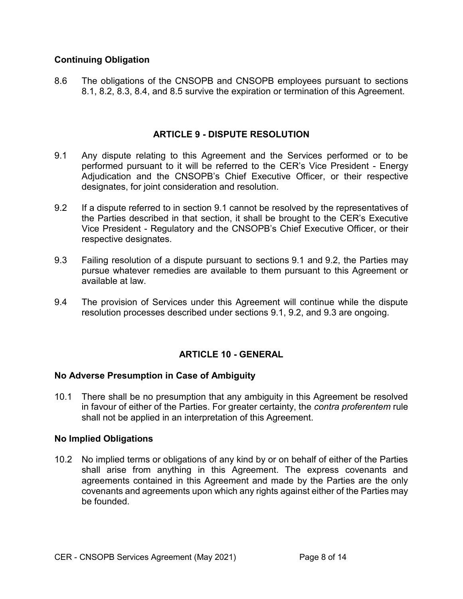# **Continuing Obligation**

8.6 The obligations of the CNSOPB and CNSOPB employees pursuant to sections 8.1, 8.2, 8.3, 8.4, and 8.5 survive the expiration or termination of this Agreement.

## **ARTICLE 9 - DISPUTE RESOLUTION**

- 9.1 Any dispute relating to this Agreement and the Services performed or to be performed pursuant to it will be referred to the CER's Vice President - Energy Adjudication and the CNSOPB's Chief Executive Officer, or their respective designates, for joint consideration and resolution.
- 9.2 If a dispute referred to in section 9.1 cannot be resolved by the representatives of the Parties described in that section, it shall be brought to the CER's Executive Vice President - Regulatory and the CNSOPB's Chief Executive Officer, or their respective designates.
- 9.3 Failing resolution of a dispute pursuant to sections 9.1 and 9.2, the Parties may pursue whatever remedies are available to them pursuant to this Agreement or available at law.
- 9.4 The provision of Services under this Agreement will continue while the dispute resolution processes described under sections 9.1, 9.2, and 9.3 are ongoing.

# **ARTICLE 10 - GENERAL**

## **No Adverse Presumption in Case of Ambiguity**

10.1 There shall be no presumption that any ambiguity in this Agreement be resolved in favour of either of the Parties. For greater certainty, the *contra proferentem* rule shall not be applied in an interpretation of this Agreement.

## **No Implied Obligations**

10.2 No implied terms or obligations of any kind by or on behalf of either of the Parties shall arise from anything in this Agreement. The express covenants and agreements contained in this Agreement and made by the Parties are the only covenants and agreements upon which any rights against either of the Parties may be founded.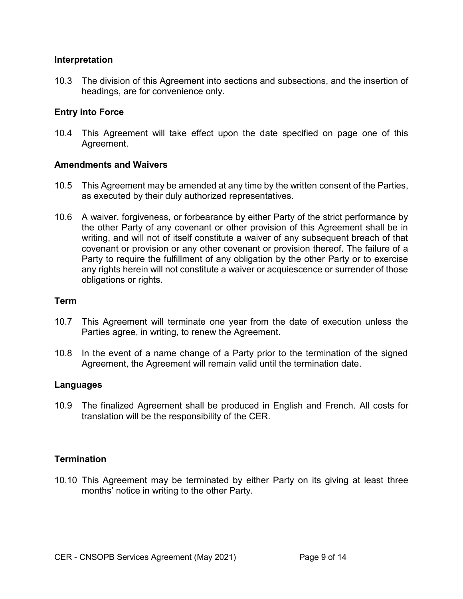#### **Interpretation**

10.3 The division of this Agreement into sections and subsections, and the insertion of headings, are for convenience only.

## **Entry into Force**

10.4 This Agreement will take effect upon the date specified on page one of this Agreement.

#### **Amendments and Waivers**

- 10.5 This Agreement may be amended at any time by the written consent of the Parties, as executed by their duly authorized representatives.
- 10.6 A waiver, forgiveness, or forbearance by either Party of the strict performance by the other Party of any covenant or other provision of this Agreement shall be in writing, and will not of itself constitute a waiver of any subsequent breach of that covenant or provision or any other covenant or provision thereof. The failure of a Party to require the fulfillment of any obligation by the other Party or to exercise any rights herein will not constitute a waiver or acquiescence or surrender of those obligations or rights.

#### **Term**

- 10.7 This Agreement will terminate one year from the date of execution unless the Parties agree, in writing, to renew the Agreement.
- 10.8 In the event of a name change of a Party prior to the termination of the signed Agreement, the Agreement will remain valid until the termination date.

#### **Languages**

10.9 The finalized Agreement shall be produced in English and French. All costs for translation will be the responsibility of the CER.

## **Termination**

10.10 This Agreement may be terminated by either Party on its giving at least three months' notice in writing to the other Party.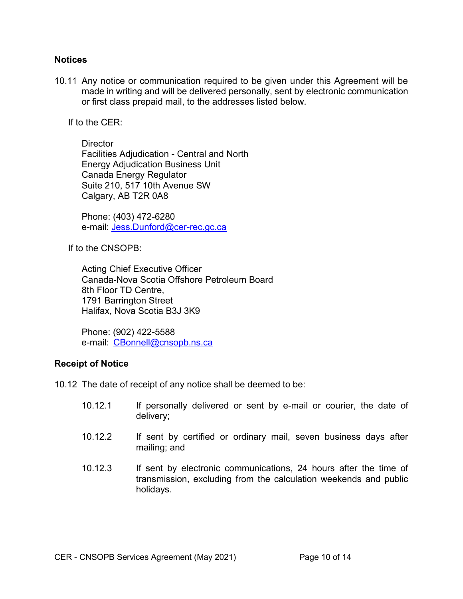#### **Notices**

10.11 Any notice or communication required to be given under this Agreement will be made in writing and will be delivered personally, sent by electronic communication or first class prepaid mail, to the addresses listed below.

If to the CER:

**Director** Facilities Adjudication - Central and North Energy Adjudication Business Unit Canada Energy Regulator Suite 210, 517 10th Avenue SW Calgary, AB T2R 0A8

Phone: (403) 472-6280 e-mail: [Jess.Dunford@cer-rec.gc.ca](mailto:Jess.Dunford@cer-rec.gc.ca)

If to the CNSOPB:

Acting Chief Executive Officer Canada-Nova Scotia Offshore Petroleum Board 8th Floor TD Centre, 1791 Barrington Street Halifax, Nova Scotia B3J 3K9

Phone: (902) 422-5588 e-mail: [CBonnell@cnsopb.ns.ca](mailto:CBonnell@cnsopb.ns.ca)

## **Receipt of Notice**

10.12 The date of receipt of any notice shall be deemed to be:

- 10.12.1 If personally delivered or sent by e-mail or courier, the date of delivery;
- 10.12.2 If sent by certified or ordinary mail, seven business days after mailing; and
- 10.12.3 If sent by electronic communications, 24 hours after the time of transmission, excluding from the calculation weekends and public holidays.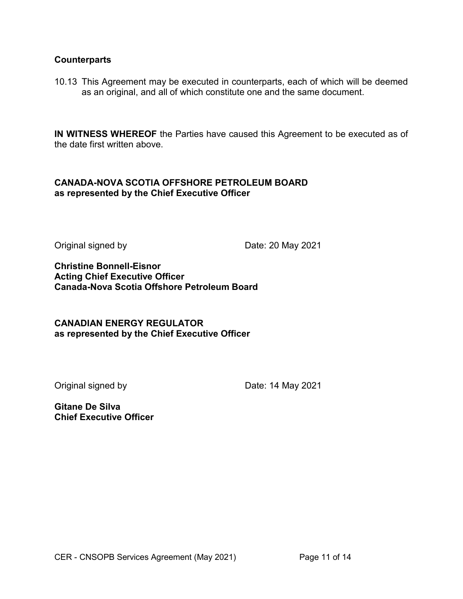#### **Counterparts**

10.13 This Agreement may be executed in counterparts, each of which will be deemed as an original, and all of which constitute one and the same document.

**IN WITNESS WHEREOF** the Parties have caused this Agreement to be executed as of the date first written above.

## **CANADA-NOVA SCOTIA OFFSHORE PETROLEUM BOARD as represented by the Chief Executive Officer**

Original signed by Date: 20 May 2021

**Christine Bonnell-Eisnor Acting Chief Executive Officer Canada-Nova Scotia Offshore Petroleum Board** 

## **CANADIAN ENERGY REGULATOR as represented by the Chief Executive Officer**

Original signed by Date: 14 May 2021

**Gitane De Silva Chief Executive Officer**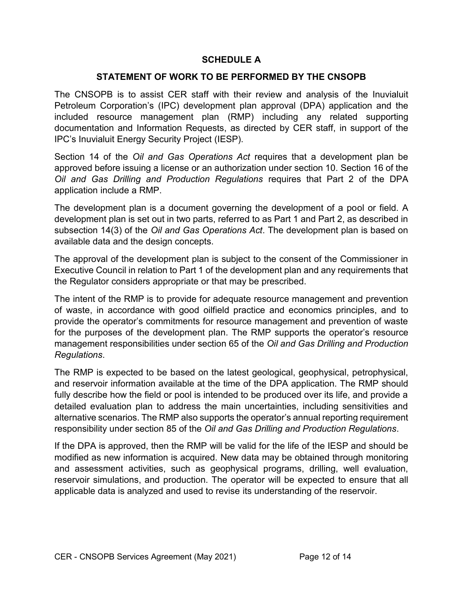# **SCHEDULE A**

## **STATEMENT OF WORK TO BE PERFORMED BY THE CNSOPB**

The CNSOPB is to assist CER staff with their review and analysis of the Inuvialuit Petroleum Corporation's (IPC) development plan approval (DPA) application and the included resource management plan (RMP) including any related supporting documentation and Information Requests, as directed by CER staff, in support of the IPC's Inuvialuit Energy Security Project (IESP).

Section 14 of the *Oil and Gas Operations Act* requires that a development plan be approved before issuing a license or an authorization under section 10. Section 16 of the *Oil and Gas Drilling and Production Regulations* requires that Part 2 of the DPA application include a RMP.

The development plan is a document governing the development of a pool or field. A development plan is set out in two parts, referred to as Part 1 and Part 2, as described in subsection 14(3) of the *Oil and Gas Operations Act*. The development plan is based on available data and the design concepts.

The approval of the development plan is subject to the consent of the Commissioner in Executive Council in relation to Part 1 of the development plan and any requirements that the Regulator considers appropriate or that may be prescribed.

The intent of the RMP is to provide for adequate resource management and prevention of waste, in accordance with good oilfield practice and economics principles, and to provide the operator's commitments for resource management and prevention of waste for the purposes of the development plan. The RMP supports the operator's resource management responsibilities under section 65 of the *Oil and Gas Drilling and Production Regulations*.

The RMP is expected to be based on the latest geological, geophysical, petrophysical, and reservoir information available at the time of the DPA application. The RMP should fully describe how the field or pool is intended to be produced over its life, and provide a detailed evaluation plan to address the main uncertainties, including sensitivities and alternative scenarios. The RMP also supports the operator's annual reporting requirement responsibility under section 85 of the *Oil and Gas Drilling and Production Regulations*.

If the DPA is approved, then the RMP will be valid for the life of the IESP and should be modified as new information is acquired. New data may be obtained through monitoring and assessment activities, such as geophysical programs, drilling, well evaluation, reservoir simulations, and production. The operator will be expected to ensure that all applicable data is analyzed and used to revise its understanding of the reservoir.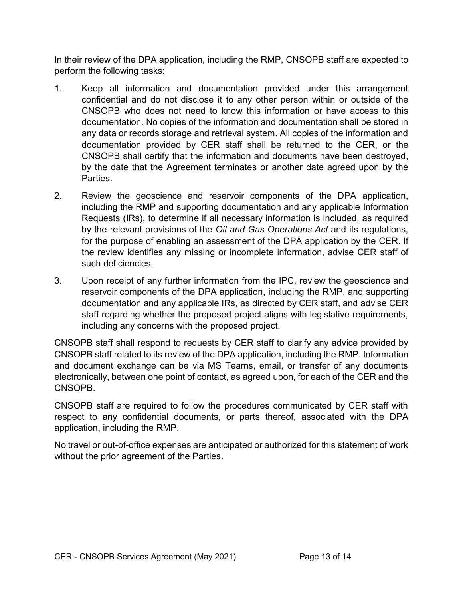In their review of the DPA application, including the RMP, CNSOPB staff are expected to perform the following tasks:

- 1. Keep all information and documentation provided under this arrangement confidential and do not disclose it to any other person within or outside of the CNSOPB who does not need to know this information or have access to this documentation. No copies of the information and documentation shall be stored in any data or records storage and retrieval system. All copies of the information and documentation provided by CER staff shall be returned to the CER, or the CNSOPB shall certify that the information and documents have been destroyed, by the date that the Agreement terminates or another date agreed upon by the Parties.
- 2. Review the geoscience and reservoir components of the DPA application, including the RMP and supporting documentation and any applicable Information Requests (IRs), to determine if all necessary information is included, as required by the relevant provisions of the *Oil and Gas Operations Act* and its regulations, for the purpose of enabling an assessment of the DPA application by the CER. If the review identifies any missing or incomplete information, advise CER staff of such deficiencies.
- 3. Upon receipt of any further information from the IPC, review the geoscience and reservoir components of the DPA application, including the RMP, and supporting documentation and any applicable IRs, as directed by CER staff, and advise CER staff regarding whether the proposed project aligns with legislative requirements, including any concerns with the proposed project.

CNSOPB staff shall respond to requests by CER staff to clarify any advice provided by CNSOPB staff related to its review of the DPA application, including the RMP. Information and document exchange can be via MS Teams, email, or transfer of any documents electronically, between one point of contact, as agreed upon, for each of the CER and the CNSOPB.

CNSOPB staff are required to follow the procedures communicated by CER staff with respect to any confidential documents, or parts thereof, associated with the DPA application, including the RMP.

No travel or out-of-office expenses are anticipated or authorized for this statement of work without the prior agreement of the Parties.